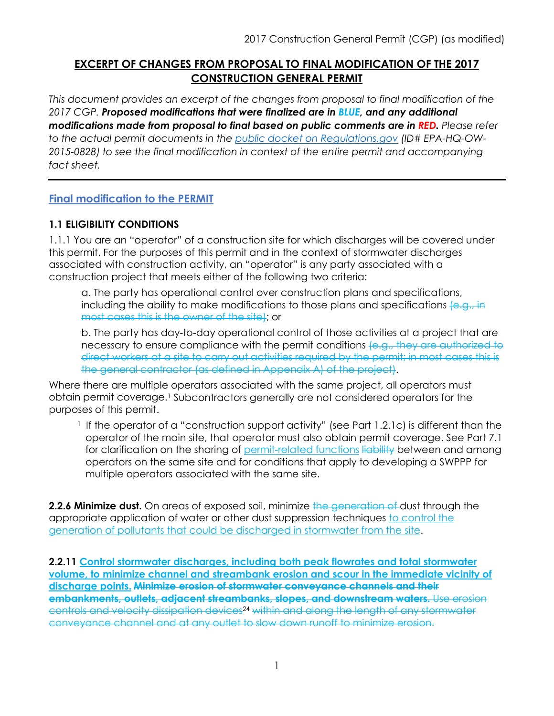# **EXCERPT OF CHANGES FROM PROPOSAL TO FINAL MODIFICATION OF THE 2017 CONSTRUCTION GENERAL PERMIT**

*This document provides an excerpt of the changes from proposal to final modification of the 2017 CGP. Proposed modifications that were finalized are in BLUE, and any additional modifications made from proposal to final based on public comments are in RED. Please refer to the actual permit documents in the [public docket on Regulations.gov](https://www.regulations.gov/docket?D=EPA-HQ-OW-2015-0828) (ID# EPA-HQ-OW-2015-0828) to see the final modification in context of the entire permit and accompanying fact sheet.*

## **Final modification to the PERMIT**

### **1.1 ELIGIBILITY CONDITIONS**

1.1.1 You are an "operator" of a construction site for which discharges will be covered under this permit. For the purposes of this permit and in the context of stormwater discharges associated with construction activity, an "operator" is any party associated with a construction project that meets either of the following two criteria:

a. The party has operational control over construction plans and specifications, including the ability to make modifications to those plans and specifications  $\{e, g, h\}$ most cases this is the owner of the site); or

b. The party has day-to-day operational control of those activities at a project that are necessary to ensure compliance with the permit conditions (e.g., they are authorized to direct workers at a site to carry out activities required by the permit; in most cases this is the general contractor (as defined in Appendix A) of the project).

Where there are multiple operators associated with the same project, all operators must obtain permit coverage.1 Subcontractors generally are not considered operators for the purposes of this permit.

<sup>1</sup> If the operator of a "construction support activity" (see Part 1.2.1c) is different than the operator of the main site, that operator must also obtain permit coverage. See Part 7.1 for clarification on the sharing of permit-related functions liability between and among operators on the same site and for conditions that apply to developing a SWPPP for multiple operators associated with the same site.

**2.2.6 Minimize dust.** On areas of exposed soil, minimize the generation of dust through the appropriate application of water or other dust suppression techniques to control the generation of pollutants that could be discharged in stormwater from the site.

**2.2.11 Control stormwater discharges, including both peak flowrates and total stormwater volume, to minimize channel and streambank erosion and scour in the immediate vicinity of discharge points. Minimize erosion of stormwater conveyance channels and their embankments, outlets, adjacent streambanks, slopes, and downstream waters.** Use erosion controls and velocity dissipation devices24 within and along the length of any stormwater conveyance channel and at any outlet to slow down runoff to minimize erosion.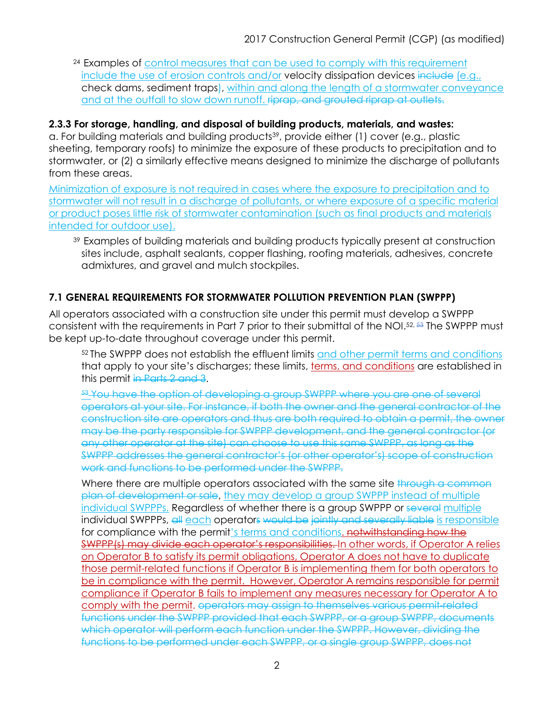<sup>24</sup> Examples of control measures that can be used to comply with this requirement include the use of erosion controls and/or velocity dissipation devices include (e.g., check dams, sediment traps), within and along the length of a stormwater conveyance and at the outfall to slow down runoff. **riprap, and grouted riprap at outlets.** 

#### **2.3.3 For storage, handling, and disposal of building products, materials, and wastes:**

a. For building materials and building products<sup>39</sup>, provide either (1) cover (e.g., plastic sheeting, temporary roofs) to minimize the exposure of these products to precipitation and to stormwater, or (2) a similarly effective means designed to minimize the discharge of pollutants from these areas.

Minimization of exposure is not required in cases where the exposure to precipitation and to stormwater will not result in a discharge of pollutants, or where exposure of a specific material or product poses little risk of stormwater contamination (such as final products and materials intended for outdoor use).

39 Examples of building materials and building products typically present at construction sites include, asphalt sealants, copper flashing, roofing materials, adhesives, concrete admixtures, and gravel and mulch stockpiles.

# **7.1 GENERAL REQUIREMENTS FOR STORMWATER POLLUTION PREVENTION PLAN (SWPPP)**

All operators associated with a construction site under this permit must develop a SWPPP consistent with the requirements in Part 7 prior to their submittal of the NOI.52, 53 The SWPPP must be kept up-to-date throughout coverage under this permit.

52 The SWPPP does not establish the effluent limits and other permit terms and conditions that apply to your site's discharges; these limits, terms, and conditions are established in this permit in Parts 2 and 3.

53 You have the option of developing a group SWPPP where you are one of several operators at your site. For instance, if both the owner and the general contractor of the construction site are operators and thus are both required to obtain a permit, the owner may be the party responsible for SWPPP development, and the general contractor (or any other operator at the site) can choose to use this same SWPPP, as long as the SWPPP addresses the general contractor's (or other operator's) scope of construction work and functions to be performed under the SWPPP.

Where there are multiple operators associated with the same site through a common plan of development or sale, they may develop a group SWPPP instead of multiple individual SWPPPs. Regardless of whether there is a group SWPPP or several multiple individual SWPPPs, all each operators would be jointly and severally liable is responsible for compliance with the permit's terms and conditions, notwithstanding how the SWPPP(s) may divide each operator's responsibilities. In other words, if Operator A relies on Operator B to satisfy its permit obligations, Operator A does not have to duplicate those permit-related functions if Operator B is implementing them for both operators to be in compliance with the permit. However, Operator A remains responsible for permit compliance if Operator B fails to implement any measures necessary for Operator A to comply with the permit. operators may assign to themselves various permit-related functions under the SWPPP provided that each SWPPP, or a group SWPPP, documents which operator will perform each function under the SWPPP. However, dividing the functions to be performed under each SWPPP, or a single group SWPPP, does not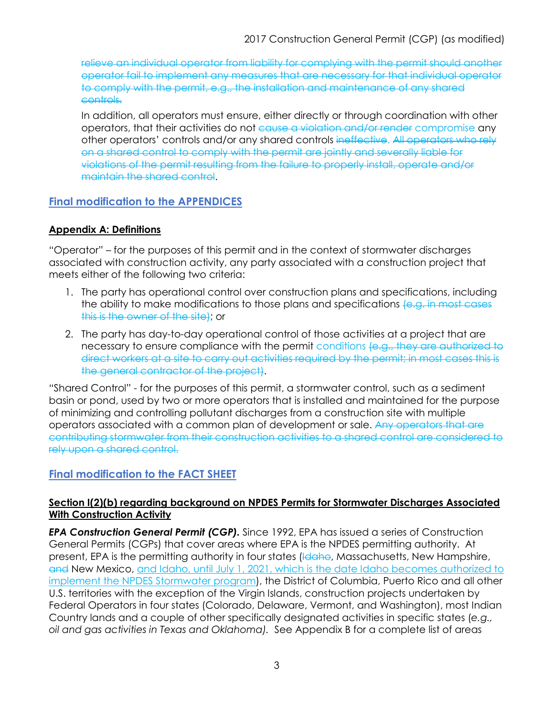relieve an individual operator from liability for complying with the permit should another operator fail to implement any measures that are necessary for that individual operator to comply with the permit, e.g., the installation and maintenance of any shared controls.

In addition, all operators must ensure, either directly or through coordination with other operators, that their activities do not cause a violation and/or render compromise any other operators' controls and/or any shared controls ineffective. All operators who rely on a shared control to comply with the permit are jointly and severally liable for violations of the permit resulting from the failure to properly install, operate and/or maintain the shared control.

## **Final modification to the APPENDICES**

#### **Appendix A: Definitions**

"Operator" – for the purposes of this permit and in the context of stormwater discharges associated with construction activity, any party associated with a construction project that meets either of the following two criteria:

- 1. The party has operational control over construction plans and specifications, including the ability to make modifications to those plans and specifications (e.g. in most cases this is the owner of the site); or
- 2. The party has day-to-day operational control of those activities at a project that are necessary to ensure compliance with the permit conditions (e.g., they are authorized to direct workers at a site to carry out activities required by the permit; in most cases this is the general contractor of the project).

"Shared Control" - for the purposes of this permit, a stormwater control, such as a sediment basin or pond, used by two or more operators that is installed and maintained for the purpose of minimizing and controlling pollutant discharges from a construction site with multiple operators associated with a common plan of development or sale. Any operators that are contributing stormwater from their construction activities to a shared control are considered to rely upon a shared control.

# **Final modification to the FACT SHEET**

### **Section I(2)(b) regarding background on NPDES Permits for Stormwater Discharges Associated With Construction Activity**

*EPA Construction General Permit (CGP).* Since 1992, EPA has issued a series of Construction General Permits (CGPs) that cover areas where EPA is the NPDES permitting authority. At present, EPA is the permitting authority in four states (Idaho, Massachusetts, New Hampshire, and New Mexico, and Idaho, until July 1, 2021, which is the date Idaho becomes authorized to implement the NPDES Stormwater program), the District of Columbia, Puerto Rico and all other U.S. territories with the exception of the Virgin Islands, construction projects undertaken by Federal Operators in four states (Colorado, Delaware, Vermont, and Washington), most Indian Country lands and a couple of other specifically designated activities in specific states (*e.g., oil and gas activities in Texas and Oklahoma).* See Appendix B for a complete list of areas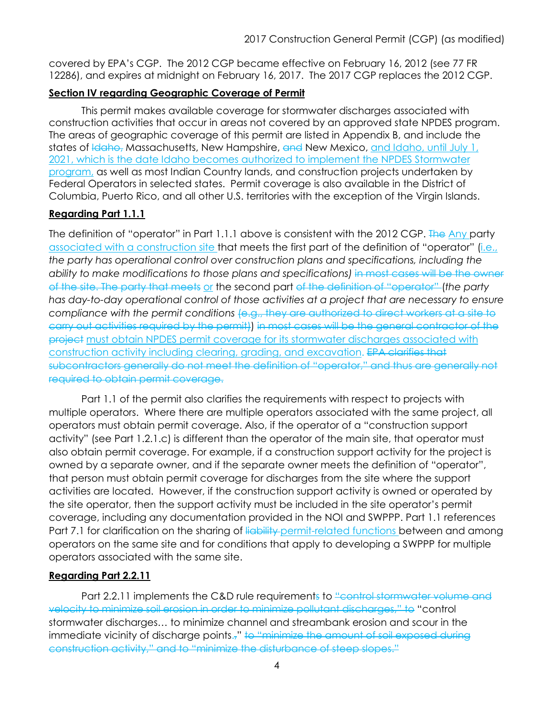covered by EPA's CGP. The 2012 CGP became effective on February 16, 2012 (see 77 FR 12286), and expires at midnight on February 16, 2017. The 2017 CGP replaces the 2012 CGP.

### **Section IV regarding Geographic Coverage of Permit**

This permit makes available coverage for stormwater discharges associated with construction activities that occur in areas not covered by an approved state NPDES program. The areas of geographic coverage of this permit are listed in Appendix B, and include the states of <del>Idaho,</del> Massachusetts, New Hampshire, and New Mexico, and Idaho, until July 1, 2021, which is the date Idaho becomes authorized to implement the NPDES Stormwater program, as well as most Indian Country lands, and construction projects undertaken by Federal Operators in selected states. Permit coverage is also available in the District of Columbia, Puerto Rico, and all other U.S. territories with the exception of the Virgin Islands.

### **Regarding Part 1.1.1**

The definition of "operator" in Part 1.1.1 above is consistent with the 2012 CGP. The Any party associated with a construction site that meets the first part of the definition of "operator" (i.e., *the party has operational control over construction plans and specifications, including the*  ability to make modifications to those plans and specifications) in most cases will be the owner of the site. The party that meets or the second part of the definition of "operator" (*the party has day-to-day operational control of those activities at a project that are necessary to ensure compliance with the permit conditions* (e.g., they are authorized to direct workers at a site to carry out activities required by the permit)) in most cases will be the general contractor of the project must obtain NPDES permit coverage for its stormwater discharges associated with construction activity including clearing, grading, and excavation. EPA clarifies that subcontractors generally do not meet the definition of "operator," and thus are generally not required to obtain permit coverage.

Part 1.1 of the permit also clarifies the requirements with respect to projects with multiple operators. Where there are multiple operators associated with the same project, all operators must obtain permit coverage. Also, if the operator of a "construction support activity" (see Part 1.2.1.c) is different than the operator of the main site, that operator must also obtain permit coverage. For example, if a construction support activity for the project is owned by a separate owner, and if the separate owner meets the definition of "operator", that person must obtain permit coverage for discharges from the site where the support activities are located. However, if the construction support activity is owned or operated by the site operator, then the support activity must be included in the site operator's permit coverage, including any documentation provided in the NOI and SWPPP. Part 1.1 references Part 7.1 for clarification on the sharing of liability permit-related functions between and among operators on the same site and for conditions that apply to developing a SWPPP for multiple operators associated with the same site.

#### **Regarding Part 2.2.11**

Part 2.2.11 implements the C&D rule requirements to "control stormwater volume and velocity to minimize soil erosion in order to minimize pollutant discharges," to "control stormwater discharges… to minimize channel and streambank erosion and scour in the immediate vicinity of discharge points.," to "minimize the amount of soil exposed during construction activity," and to "minimize the disturbance of steep slopes."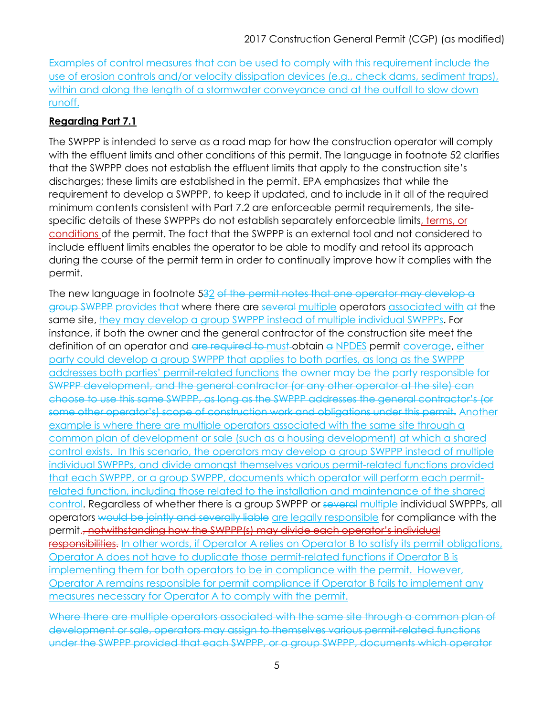Examples of control measures that can be used to comply with this requirement include the use of erosion controls and/or velocity dissipation devices (e.g., check dams, sediment traps), within and along the length of a stormwater conveyance and at the outfall to slow down runoff.

## **Regarding Part 7.1**

The SWPPP is intended to serve as a road map for how the construction operator will comply with the effluent limits and other conditions of this permit. The language in footnote 52 clarifies that the SWPPP does not establish the effluent limits that apply to the construction site's discharges; these limits are established in the permit. EPA emphasizes that while the requirement to develop a SWPPP, to keep it updated, and to include in it all of the required minimum contents consistent with Part 7.2 are enforceable permit requirements, the sitespecific details of these SWPPPs do not establish separately enforceable limits, terms, or conditions of the permit. The fact that the SWPPP is an external tool and not considered to include effluent limits enables the operator to be able to modify and retool its approach during the course of the permit term in order to continually improve how it complies with the permit.

The new language in footnote 532 of the permit notes that one operator may develop a group SWPPP provides that where there are several multiple operators associated with at the same site, they may develop a group SWPPP instead of multiple individual SWPPPs. For instance, if both the owner and the general contractor of the construction site meet the definition of an operator and are required to must-obtain a NPDES permit coverage, either party could develop a group SWPPP that applies to both parties, as long as the SWPPP addresses both parties' permit-related functions the owner may be the party responsible for SWPPP development, and the general contractor (or any other operator at the site) can choose to use this same SWPPP, as long as the SWPPP addresses the general contractor's (or some other operator's) scope of construction work and obligations under this permit. Another example is where there are multiple operators associated with the same site through a common plan of development or sale (such as a housing development) at which a shared control exists. In this scenario, the operators may develop a group SWPPP instead of multiple individual SWPPPs, and divide amongst themselves various permit-related functions provided that each SWPPP, or a group SWPPP, documents which operator will perform each permitrelated function, including those related to the installation and maintenance of the shared control. Regardless of whether there is a group SWPPP or several multiple individual SWPPPs, all operators would be jointly and severally liable are legally responsible for compliance with the permit., notwithstanding how the SWPPP(s) may divide each operator's individual responsibilities. In other words, if Operator A relies on Operator B to satisfy its permit obligations, Operator A does not have to duplicate those permit-related functions if Operator B is implementing them for both operators to be in compliance with the permit. However, Operator A remains responsible for permit compliance if Operator B fails to implement any measures necessary for Operator A to comply with the permit.

Where there are multiple operators associated with the same site through a common plan of development or sale, operators may assign to themselves various permit-related functions under the SWPPP provided that each SWPPP, or a group SWPPP, documents which operator